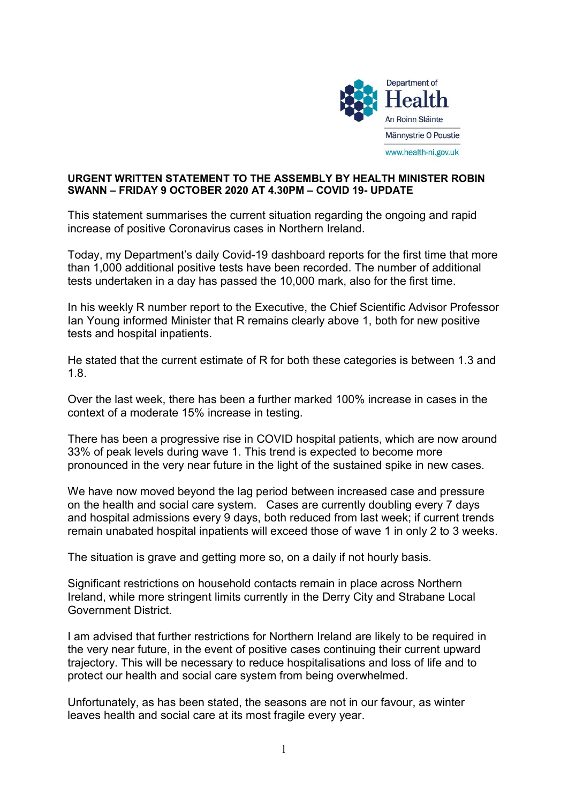

## URGENT WRITTEN STATEMENT TO THE ASSEMBLY BY HEALTH MINISTER ROBIN SWANN – FRIDAY 9 OCTOBER 2020 AT 4.30PM – COVID 19- UPDATE

This statement summarises the current situation regarding the ongoing and rapid increase of positive Coronavirus cases in Northern Ireland.

Today, my Department's daily Covid-19 dashboard reports for the first time that more than 1,000 additional positive tests have been recorded. The number of additional tests undertaken in a day has passed the 10,000 mark, also for the first time.

In his weekly R number report to the Executive, the Chief Scientific Advisor Professor Ian Young informed Minister that R remains clearly above 1, both for new positive tests and hospital inpatients.

He stated that the current estimate of R for both these categories is between 1.3 and 1.8.

Over the last week, there has been a further marked 100% increase in cases in the context of a moderate 15% increase in testing.

There has been a progressive rise in COVID hospital patients, which are now around 33% of peak levels during wave 1. This trend is expected to become more pronounced in the very near future in the light of the sustained spike in new cases.

We have now moved beyond the lag period between increased case and pressure on the health and social care system. Cases are currently doubling every 7 days and hospital admissions every 9 days, both reduced from last week; if current trends remain unabated hospital inpatients will exceed those of wave 1 in only 2 to 3 weeks.

The situation is grave and getting more so, on a daily if not hourly basis.

Significant restrictions on household contacts remain in place across Northern Ireland, while more stringent limits currently in the Derry City and Strabane Local Government District.

I am advised that further restrictions for Northern Ireland are likely to be required in the very near future, in the event of positive cases continuing their current upward trajectory. This will be necessary to reduce hospitalisations and loss of life and to protect our health and social care system from being overwhelmed.

Unfortunately, as has been stated, the seasons are not in our favour, as winter leaves health and social care at its most fragile every year.